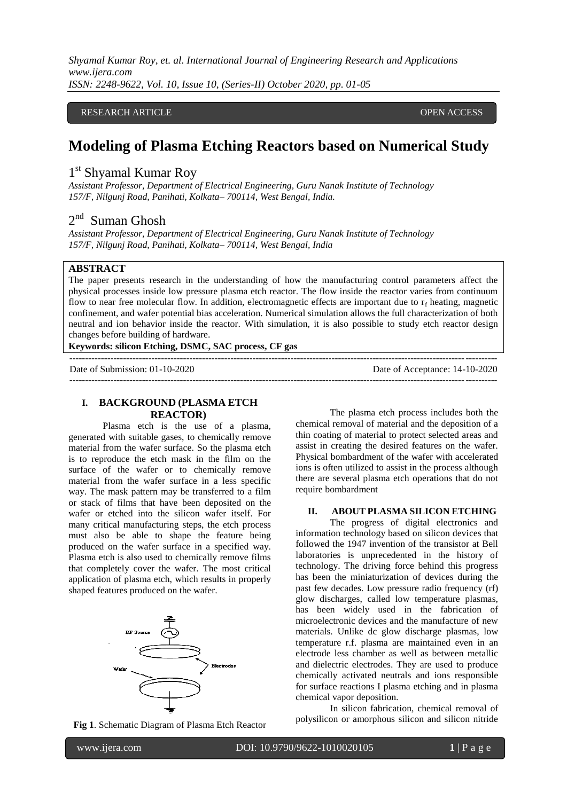*Shyamal Kumar Roy, et. al. International Journal of Engineering Research and Applications www.ijera.com ISSN: 2248-9622, Vol. 10, Issue 10, (Series-II) October 2020, pp. 01-05*

### RESEARCH ARTICLE **External open access** open access open access of the set of the set of the set of the set of the set of the set of the set of the set of the set of the set of the set of the set of the set of the set of t

# **Modeling of Plasma Etching Reactors based on Numerical Study**

# 1<sup>st</sup> Shyamal Kumar Roy

*Assistant Professor, Department of Electrical Engineering, Guru Nanak Institute of Technology 157/F, Nilgunj Road, Panihati, Kolkata– 700114, West Bengal, India.*

# 2<sup>nd</sup> Suman Ghosh

*Assistant Professor, Department of Electrical Engineering, Guru Nanak Institute of Technology 157/F, Nilgunj Road, Panihati, Kolkata– 700114, West Bengal, India*

## **ABSTRACT**

The paper presents research in the understanding of how the manufacturing control parameters affect the physical processes inside low pressure plasma etch reactor. The flow inside the reactor varies from continuum flow to near free molecular flow. In addition, electromagnetic effects are important due to  $r_f$  heating, magnetic confinement, and wafer potential bias acceleration. Numerical simulation allows the full characterization of both neutral and ion behavior inside the reactor. With simulation, it is also possible to study etch reactor design changes before building of hardware.

---------------------------------------------------------------------------------------------------------------------------------------

---------------------------------------------------------------------------------------------------------------------------------------

#### **Keywords: silicon Etching, DSMC, SAC process, CF gas**

```
Date of Submission: 01-10-2020 Date of Acceptance: 14-10-2020
```
### **I. BACKGROUND (PLASMA ETCH REACTOR)**

Plasma etch is the use of a plasma, generated with suitable gases, to chemically remove material from the wafer surface. So the plasma etch is to reproduce the etch mask in the film on the surface of the wafer or to chemically remove material from the wafer surface in a less specific way. The mask pattern may be transferred to a film or stack of films that have been deposited on the wafer or etched into the silicon wafer itself. For many critical manufacturing steps, the etch process must also be able to shape the feature being produced on the wafer surface in a specified way. Plasma etch is also used to chemically remove films that completely cover the wafer. The most critical application of plasma etch, which results in properly shaped features produced on the wafer.



**Fig 1**. Schematic Diagram of Plasma Etch Reactor

The plasma etch process includes both the chemical removal of material and the deposition of a thin coating of material to protect selected areas and assist in creating the desired features on the wafer. Physical bombardment of the wafer with accelerated ions is often utilized to assist in the process although there are several plasma etch operations that do not require bombardment

#### **II. ABOUT PLASMA SILICON ETCHING**

The progress of digital electronics and information technology based on silicon devices that followed the 1947 invention of the transistor at Bell laboratories is unprecedented in the history of technology. The driving force behind this progress has been the miniaturization of devices during the past few decades. Low pressure radio frequency (rf) glow discharges, called low temperature plasmas, has been widely used in the fabrication of microelectronic devices and the manufacture of new materials. Unlike dc glow discharge plasmas, low temperature r.f. plasma are maintained even in an electrode less chamber as well as between metallic and dielectric electrodes. They are used to produce chemically activated neutrals and ions responsible for surface reactions I plasma etching and in plasma chemical vapor deposition.

In silicon fabrication, chemical removal of polysilicon or amorphous silicon and silicon nitride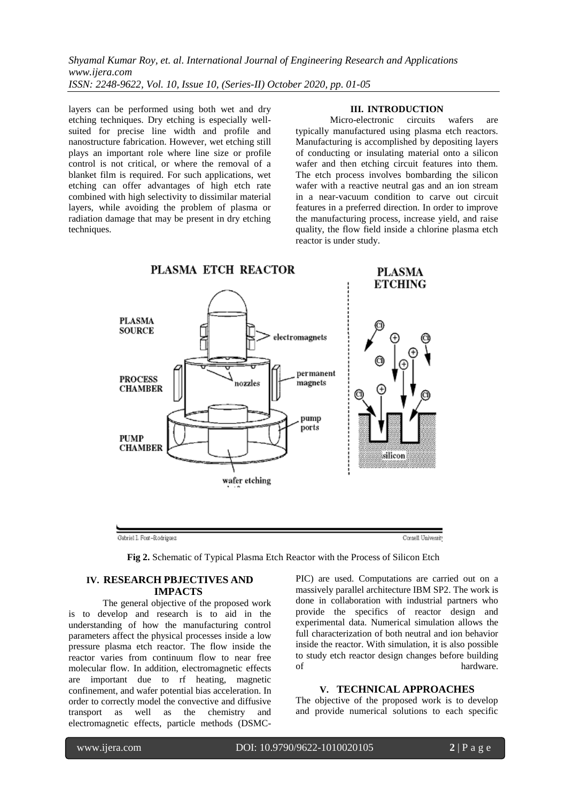*Shyamal Kumar Roy, et. al. International Journal of Engineering Research and Applications www.ijera.com ISSN: 2248-9622, Vol. 10, Issue 10, (Series-II) October 2020, pp. 01-05*

layers can be performed using both wet and dry etching techniques. Dry etching is especially wellsuited for precise line width and profile and nanostructure fabrication. However, wet etching still plays an important role where line size or profile control is not critical, or where the removal of a blanket film is required. For such applications, wet etching can offer advantages of high etch rate combined with high selectivity to dissimilar material layers, while avoiding the problem of plasma or radiation damage that may be present in dry etching techniques.

#### **III. INTRODUCTION**

Micro-electronic circuits wafers are typically manufactured using plasma etch reactors. Manufacturing is accomplished by depositing layers of conducting or insulating material onto a silicon wafer and then etching circuit features into them. The etch process involves bombarding the silicon wafer with a reactive neutral gas and an ion stream in a near-vacuum condition to carve out circuit features in a preferred direction. In order to improve the manufacturing process, increase yield, and raise quality, the flow field inside a chlorine plasma etch reactor is under study.



**Fig 2.** Schematic of Typical Plasma Etch Reactor with the Process of Silicon Etch

## **IV. RESEARCH PBJECTIVES AND IMPACTS**

The general objective of the proposed work is to develop and research is to aid in the understanding of how the manufacturing control parameters affect the physical processes inside a low pressure plasma etch reactor. The flow inside the reactor varies from continuum flow to near free molecular flow. In addition, electromagnetic effects are important due to rf heating, magnetic confinement, and wafer potential bias acceleration. In order to correctly model the convective and diffusive transport as well as the chemistry and electromagnetic effects, particle methods (DSMC-

PIC) are used. Computations are carried out on a massively parallel architecture IBM SP2. The work is done in collaboration with industrial partners who provide the specifics of reactor design and experimental data. Numerical simulation allows the full characterization of both neutral and ion behavior inside the reactor. With simulation, it is also possible to study etch reactor design changes before building of hardware.

#### **V. TECHNICAL APPROACHES**

The objective of the proposed work is to develop and provide numerical solutions to each specific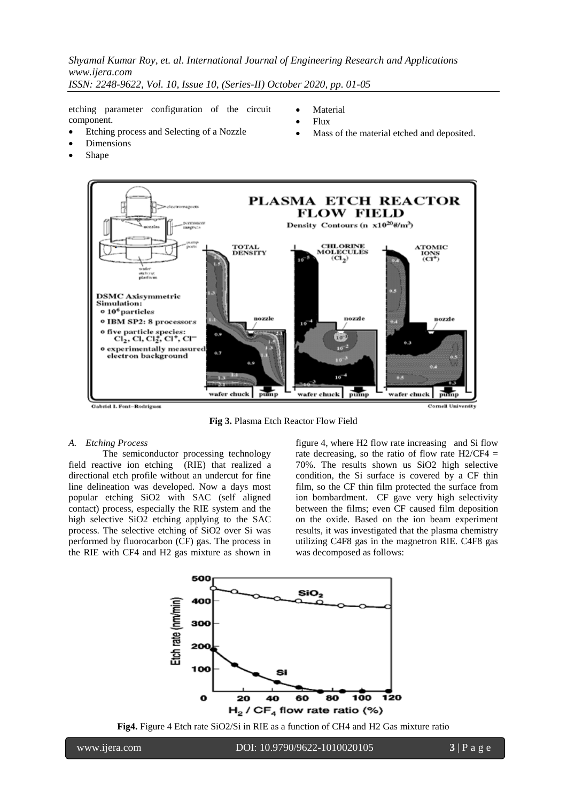*Shyamal Kumar Roy, et. al. International Journal of Engineering Research and Applications www.ijera.com ISSN: 2248-9622, Vol. 10, Issue 10, (Series-II) October 2020, pp. 01-05*

etching parameter configuration of the circuit component.

Etching process and Selecting of a Nozzle

- Material
- Flux
- Mass of the material etched and deposited.
- Dimensions
- Shape



**Fig 3.** Plasma Etch Reactor Flow Field

#### *A. Etching Process*

The semiconductor processing technology field reactive ion etching (RIE) that realized a directional etch profile without an undercut for fine line delineation was developed. Now a days most popular etching SiO2 with SAC (self aligned contact) process, especially the RIE system and the high selective SiO2 etching applying to the SAC process. The selective etching of SiO2 over Si was performed by fluorocarbon (CF) gas. The process in the RIE with CF4 and H2 gas mixture as shown in figure 4, where H2 flow rate increasing and Si flow rate decreasing, so the ratio of flow rate  $H2/CF4 =$ 70%. The results shown us SiO2 high selective condition, the Si surface is covered by a CF thin film, so the CF thin film protected the surface from ion bombardment. CF gave very high selectivity between the films; even CF caused film deposition on the oxide. Based on the ion beam experiment results, it was investigated that the plasma chemistry utilizing C4F8 gas in the magnetron RIE. C4F8 gas was decomposed as follows:



**Fig4.** Figure 4 Etch rate SiO2/Si in RIE as a function of CH4 and H2 Gas mixture ratio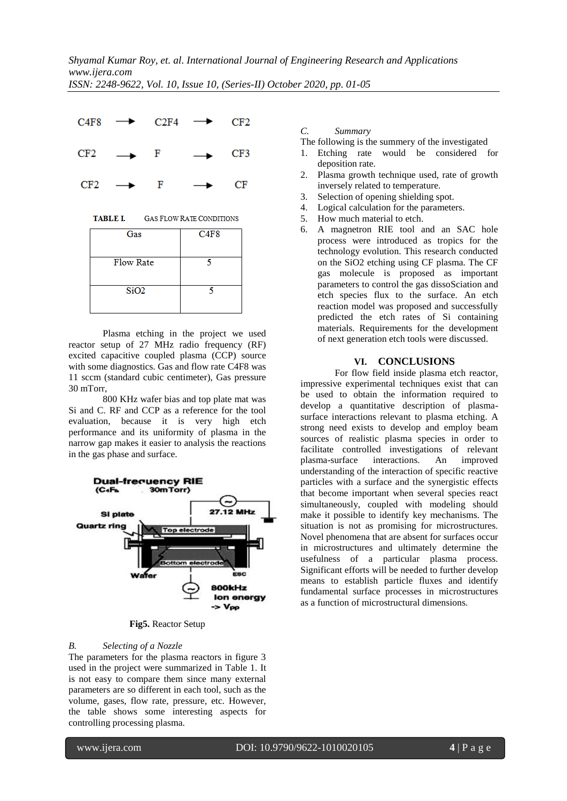

**TABLE I. GAS FLOW RATE CONDITIONS** 

| Gas              | C4F8 |
|------------------|------|
|                  |      |
| <b>Flow Rate</b> |      |
|                  |      |
| SiO <sub>2</sub> |      |
|                  |      |

Plasma etching in the project we used reactor setup of 27 MHz radio frequency (RF) excited capacitive coupled plasma (CCP) source with some diagnostics. Gas and flow rate C4F8 was 11 sccm (standard cubic centimeter), Gas pressure 30 mTorr,

800 KHz wafer bias and top plate mat was Si and C. RF and CCP as a reference for the tool evaluation, because it is very high etch performance and its uniformity of plasma in the narrow gap makes it easier to analysis the reactions in the gas phase and surface.



**Fig5.** Reactor Setup

## *B. Selecting of a Nozzle*

The parameters for the plasma reactors in figure 3 used in the project were summarized in Table 1. It is not easy to compare them since many external parameters are so different in each tool, such as the volume, gases, flow rate, pressure, etc. However, the table shows some interesting aspects for controlling processing plasma.

*C. Summary*

The following is the summery of the investigated

- 1. Etching rate would be considered for deposition rate.
- 2. Plasma growth technique used, rate of growth inversely related to temperature.
- 3. Selection of opening shielding spot.
- 4. Logical calculation for the parameters.
- 5. How much material to etch.
- 6. A magnetron RIE tool and an SAC hole process were introduced as tropics for the technology evolution. This research conducted on the SiO2 etching using CF plasma. The CF gas molecule is proposed as important parameters to control the gas dissoSciation and etch species flux to the surface. An etch reaction model was proposed and successfully predicted the etch rates of Si containing materials. Requirements for the development of next generation etch tools were discussed.

## **VI. CONCLUSIONS**

For flow field inside plasma etch reactor, impressive experimental techniques exist that can be used to obtain the information required to develop a quantitative description of plasmasurface interactions relevant to plasma etching. A strong need exists to develop and employ beam sources of realistic plasma species in order to facilitate controlled investigations of relevant plasma-surface interactions. An improved understanding of the interaction of specific reactive particles with a surface and the synergistic effects that become important when several species react simultaneously, coupled with modeling should make it possible to identify key mechanisms. The situation is not as promising for microstructures. Novel phenomena that are absent for surfaces occur in microstructures and ultimately determine the usefulness of a particular plasma process. Significant efforts will be needed to further develop means to establish particle fluxes and identify fundamental surface processes in microstructures as a function of microstructural dimensions.